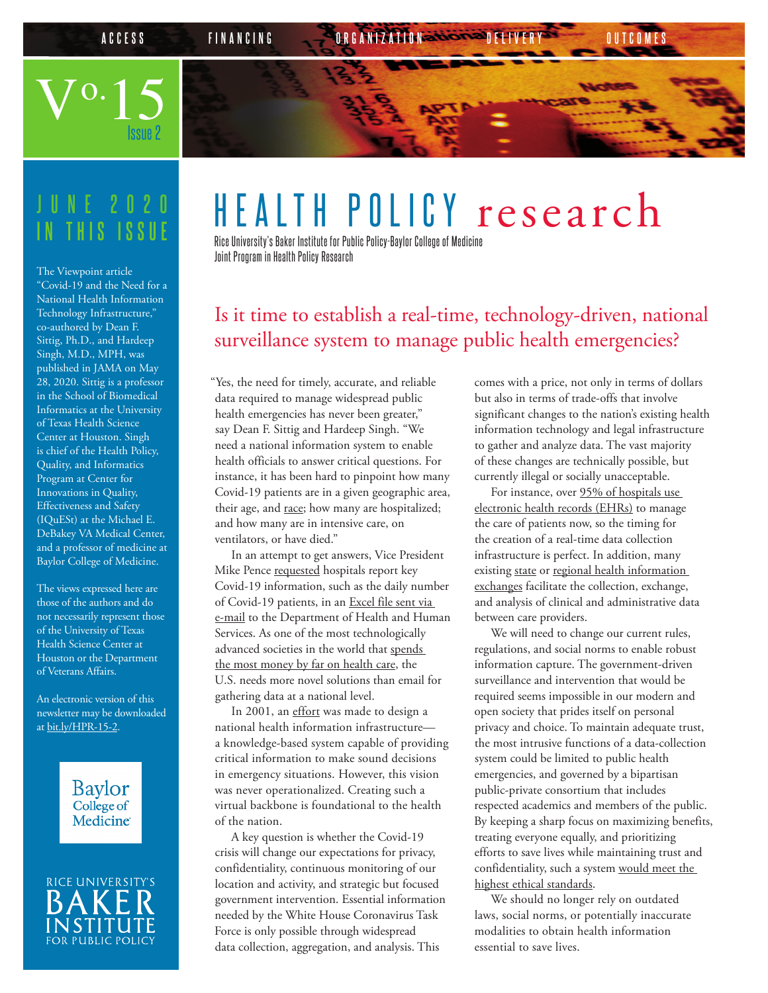## $V^{o.}15$ **ACCESS FINANCING CREANIZATION DELIVERY OUTCOME**

# **IN THIS ISSUE**

Issue 2

The Viewpoint article "[Covid-19 and the Need for a](https://jamanetwork.com/journals/jama/fullarticle/2766368?resultClick=1) [National Health Information](https://jamanetwork.com/journals/jama/fullarticle/2766368?resultClick=1)  [Technology Infrastructure](https://jamanetwork.com/journals/jama/fullarticle/2766368?resultClick=1)," co-authored by Dean F. Sittig, Ph.D., and Hardeep Singh, M.D., MPH, was published in JAMA on May 28, 2020. Sittig is a professor in the School of Biomedical Informatics at the University of Texas Health Science Center at Houston. Singh is chief of the Health Policy, Quality, and Informatics Program at Center for Innovations in Quality, Effectiveness and Safety (IQuESt) at the Michael E. DeBakey VA Medical Center, and a professor of medicine at Baylor College of Medicine.

The views expressed here are those of the authors and do not necessarily represent those of the University of Texas Health Science Center at Houston or the Department of Veterans Affairs.

An electronic version of this newsletter may be downloaded at [bit.ly/HPR-15-2.](https://bit.ly/HPR-15-2)

> Baylor College of **Medicine**



### HEALTH POLICY research

Rice University's Baker Institute for Public Policy-Baylor College of Medicine Joint Program in Health Policy Research

#### Is it time to establish a real-time, technology-driven, national surveillance system to manage public health emergencies?

"Yes, the need for timely, accurate, and reliable data required to manage widespread public health emergencies has never been greater," say Dean F. Sittig and Hardeep Singh. "We need a national information system to enable health officials to answer critical questions. For instance, it has been hard to pinpoint how many Covid-19 patients are in a given geographic area, their age, and [race;](https://www.usatoday.com/story/news/nation/2020/04/07/who-dying-coronavirus-more-black-people-die-major-cities/2961323001/) how many are hospitalized; and how many are in intensive care, on ventilators, or have died."

In an attempt to get answers, Vice President Mike Pence [requested](https://www.gnyha.org/news/federal-request-for-covid-19-data/) hospitals report key Covid-19 information, such as the daily number of Covid-19 patients, in an [Excel file sent via](https://www.whitehouse.gov/briefings-statements/text-letter-vice-president-hospital-administrators/)  [e-mail](https://www.whitehouse.gov/briefings-statements/text-letter-vice-president-hospital-administrators/) to the Department of Health and Human Services. As one of the most technologically advanced societies in the world that [spends](https://data.oecd.org/healthres/health-spending.htm)  [the most money by far on health care](https://data.oecd.org/healthres/health-spending.htm), the U.S. needs more novel solutions than email for gathering data at a national level.

In 2001, an [effort](https://aspe.hhs.gov/report/information-health-strategy-building-national-health-information-infrastructure) was made to design a national health information infrastructure a knowledge-based system capable of providing critical information to make sound decisions in emergency situations. However, this vision was never operationalized. Creating such a virtual backbone is foundational to the health of the nation.

A key question is whether the Covid-19 crisis will change our expectations for privacy, confidentiality, continuous monitoring of our location and activity, and strategic but focused government intervention. Essential information needed by the White House Coronavirus Task Force is only possible through widespread data collection, aggregation, and analysis. This

comes with a price, not only in terms of dollars but also in terms of trade-offs that involve significant changes to the nation's existing health information technology and legal infrastructure to gather and analyze data. The vast majority of these changes are technically possible, but currently illegal or socially unacceptable.

For instance, over 95% of hospitals use [electronic health records \(EHRs\)](https://dashboard.healthit.gov/quickstats/pages/certified-electronic-health-record-technology-in-hospitals.php) to manage the care of patients now, so the timing for the creation of a real-time data collection infrastructure is perfect. In addition, many existing [state](https://www.ncbi.nlm.nih.gov/pmc/articles/PMC5999523/pdf/10-1055-s-0038-1656548.pdf) or [regional health information](https://www.ncbi.nlm.nih.gov/pmc/articles/PMC3456558/pdf/11524_2006_Article_196.pdf)  [exchanges](https://www.ncbi.nlm.nih.gov/pmc/articles/PMC3456558/pdf/11524_2006_Article_196.pdf) facilitate the collection, exchange, and analysis of clinical and administrative data between care providers.

We will need to change our current rules, regulations, and social norms to enable robust information capture. The government-driven surveillance and intervention that would be required seems impossible in our modern and open society that prides itself on personal privacy and choice. To maintain adequate trust, the most intrusive functions of a data-collection system could be limited to public health emergencies, and governed by a bipartisan public-private consortium that includes respected academics and members of the public. By keeping a sharp focus on maximizing benefits, treating everyone equally, and prioritizing efforts to save lives while maintaining trust and confidentiality, such a system [would meet the](https://www.nejm.org/doi/full/10.1056/NEJMsb2005114)  [highest ethical standards.](https://www.nejm.org/doi/full/10.1056/NEJMsb2005114)

We should no longer rely on outdated laws, social norms, or potentially inaccurate modalities to obtain health information essential to save lives.